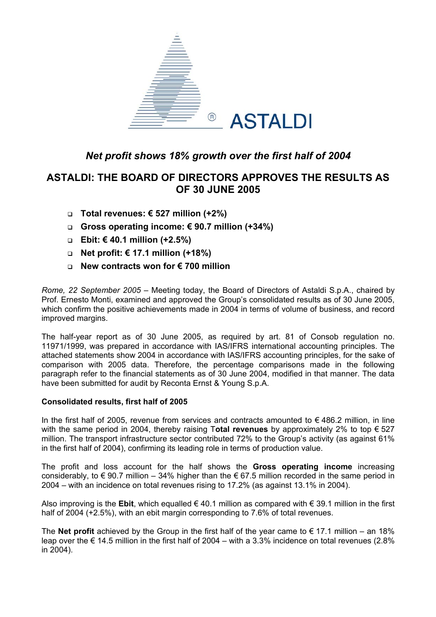

# *Net profit shows 18% growth over the first half of 2004*

# **ASTALDI: THE BOARD OF DIRECTORS APPROVES THE RESULTS AS OF 30 JUNE 2005**

- **Total revenues: € 527 million (+2%)**
- **Gross operating income: € 90.7 million (+34%)**
- **Ebit: € 40.1 million (+2.5%)**
- **Net profit: € 17.1 million (+18%)**
- **New contracts won for € 700 million**

*Rome, 22 September 2005* – Meeting today, the Board of Directors of Astaldi S.p.A., chaired by Prof. Ernesto Monti, examined and approved the Group's consolidated results as of 30 June 2005, which confirm the positive achievements made in 2004 in terms of volume of business, and record improved margins.

The half-year report as of 30 June 2005, as required by art. 81 of Consob regulation no. 11971/1999, was prepared in accordance with IAS/IFRS international accounting principles. The attached statements show 2004 in accordance with IAS/IFRS accounting principles, for the sake of comparison with 2005 data. Therefore, the percentage comparisons made in the following paragraph refer to the financial statements as of 30 June 2004, modified in that manner. The data have been submitted for audit by Reconta Ernst & Young S.p.A.

## **Consolidated results, first half of 2005**

In the first half of 2005, revenue from services and contracts amounted to  $\epsilon$  486.2 million, in line with the same period in 2004, thereby raising T**otal revenues** by approximately 2% to top € 527 million. The transport infrastructure sector contributed 72% to the Group's activity (as against 61% in the first half of 2004), confirming its leading role in terms of production value.

The profit and loss account for the half shows the **Gross operating income** increasing considerably, to  $\epsilon$  90.7 million – 34% higher than the  $\epsilon$  67.5 million recorded in the same period in 2004 – with an incidence on total revenues rising to 17.2% (as against 13.1% in 2004).

Also improving is the **Ebit**, which equalled € 40.1 million as compared with € 39.1 million in the first half of 2004 (+2.5%), with an ebit margin corresponding to 7.6% of total revenues.

The **Net profit** achieved by the Group in the first half of the year came to  $\epsilon$  17.1 million – an 18% leap over the  $\epsilon$  14.5 million in the first half of 2004 – with a 3.3% incidence on total revenues (2.8% in 2004).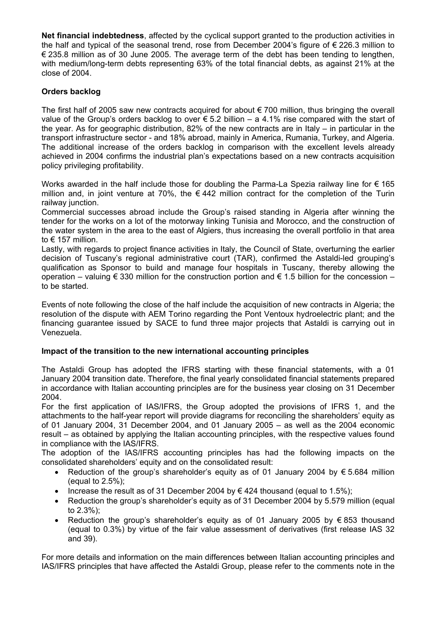**Net financial indebtedness**, affected by the cyclical support granted to the production activities in the half and typical of the seasonal trend, rose from December 2004's figure of  $\epsilon$  226.3 million to  $€$  235.8 million as of 30 June 2005. The average term of the debt has been tending to lengthen, with medium/long-term debts representing 63% of the total financial debts, as against 21% at the close of 2004.

# **Orders backlog**

The first half of 2005 saw new contracts acquired for about  $\epsilon$  700 million, thus bringing the overall value of the Group's orders backlog to over € 5.2 billion – a 4.1% rise compared with the start of the year. As for geographic distribution, 82% of the new contracts are in Italy – in particular in the transport infrastructure sector - and 18% abroad, mainly in America, Rumania, Turkey, and Algeria. The additional increase of the orders backlog in comparison with the excellent levels already achieved in 2004 confirms the industrial plan's expectations based on a new contracts acquisition policy privileging profitability.

Works awarded in the half include those for doubling the Parma-La Spezia railway line for € 165 million and, in joint venture at 70%, the  $\epsilon$  442 million contract for the completion of the Turin railway junction.

Commercial successes abroad include the Group's raised standing in Algeria after winning the tender for the works on a lot of the motorway linking Tunisia and Morocco, and the construction of the water system in the area to the east of Algiers, thus increasing the overall portfolio in that area to € 157 million.

Lastly, with regards to project finance activities in Italy, the Council of State, overturning the earlier decision of Tuscany's regional administrative court (TAR), confirmed the Astaldi-led grouping's qualification as Sponsor to build and manage four hospitals in Tuscany, thereby allowing the operation – valuing  $\epsilon$  330 million for the construction portion and  $\epsilon$  1.5 billion for the concession – to be started.

Events of note following the close of the half include the acquisition of new contracts in Algeria; the resolution of the dispute with AEM Torino regarding the Pont Ventoux hydroelectric plant; and the financing guarantee issued by SACE to fund three major projects that Astaldi is carrying out in Venezuela.

# **Impact of the transition to the new international accounting principles**

The Astaldi Group has adopted the IFRS starting with these financial statements, with a 01 January 2004 transition date. Therefore, the final yearly consolidated financial statements prepared in accordance with Italian accounting principles are for the business year closing on 31 December 2004.

For the first application of IAS/IFRS, the Group adopted the provisions of IFRS 1, and the attachments to the half-year report will provide diagrams for reconciling the shareholders' equity as of 01 January 2004, 31 December 2004, and 01 January 2005 – as well as the 2004 economic result – as obtained by applying the Italian accounting principles, with the respective values found in compliance with the IAS/IFRS.

The adoption of the IAS/IFRS accounting principles has had the following impacts on the consolidated shareholders' equity and on the consolidated result:

- Reduction of the group's shareholder's equity as of 01 January 2004 by  $\epsilon$  5.684 million (equal to  $2.5\%$ );
- Increase the result as of 31 December 2004 by  $\in$  424 thousand (equal to 1.5%);
- Reduction the group's shareholder's equity as of 31 December 2004 by 5.579 million (equal to 2.3%);
- Reduction the group's shareholder's equity as of 01 January 2005 by € 853 thousand (equal to 0.3%) by virtue of the fair value assessment of derivatives (first release IAS 32 and 39).

For more details and information on the main differences between Italian accounting principles and IAS/IFRS principles that have affected the Astaldi Group, please refer to the comments note in the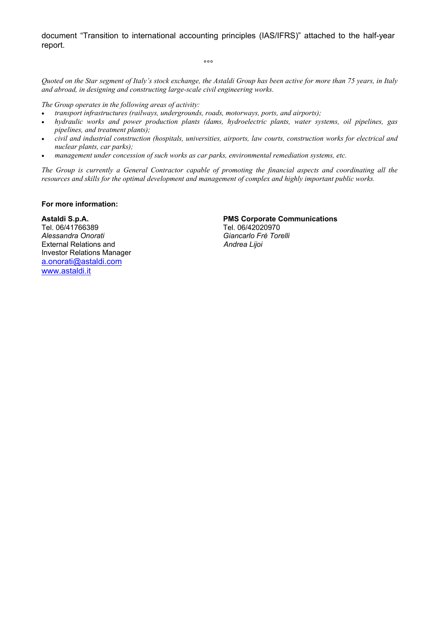document "Transition to international accounting principles (IAS/IFRS)" attached to the half-year report.

ли в община в община в община в община в община в община в община в община в община в община в община в община<br>В община в община в община в община в община в община в община в община в община в община в община в община в<br>

*Quoted on the Star segment of Italy's stock exchange, the Astaldi Group has been active for more than 75 years, in Italy and abroad, in designing and constructing large-scale civil engineering works.* 

*The Group operates in the following areas of activity:* 

- *transport infrastructures (railways, undergrounds, roads, motorways, ports, and airports);*
- *hydraulic works and power production plants (dams, hydroelectric plants, water systems, oil pipelines, gas pipelines, and treatment plants);*
- *civil and industrial construction (hospitals, universities, airports, law courts, construction works for electrical and nuclear plants, car parks);*
- *management under concession of such works as car parks, environmental remediation systems, etc.*

*The Group is currently a General Contractor capable of promoting the financial aspects and coordinating all the resources and skills for the optimal development and management of complex and highly important public works.* 

### **For more information:**

Tel. 06/41766389 Tel. 06/42020970<br>Alessandra Onorati dell'altri di un controllo di un differenti di un differenti di un differenti di un differe<br>Giancarlo Frè Torre External Relations and **Andrea Ligoir Andrea Ligoir Andrea Ligoir** Investor Relations Manager [a.onorati@astaldi.com](mailto:a.onorati@astaldi.com) [www.astaldi.it](http://www.astaldi.it/)

#### **Astaldi S.p.A. PMS Corporate Communications**

*Alessandra Onorati Giancarlo Frè Torelli*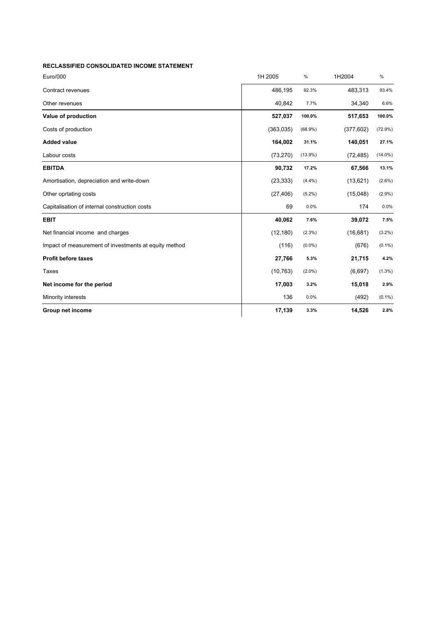| <b>RECLASSIFIED CONSOLIDATED INCOME STATEMENT</b>     |            |            |            |            |
|-------------------------------------------------------|------------|------------|------------|------------|
| Euro/000                                              | 1H 2005    | $\%$       | 1H2004     | $\%$       |
| Contract revenues                                     | 486,195    | 92.3%      | 483,313    | 93.4%      |
| Other revenues                                        | 40,842     | 7.7%       | 34,340     | 6.6%       |
| Value of production                                   | 527,037    | 100.0%     | 517,653    | 100.0%     |
| Costs of production                                   | (363, 035) | $(68.9\%)$ | (377, 602) | (72.9%)    |
| <b>Added value</b>                                    | 164,002    | 31.1%      | 140,051    | 27.1%      |
| Labour costs                                          | (73, 270)  | $(13.9\%)$ | (72, 485)  | $(14.0\%)$ |
| <b>EBITDA</b>                                         | 90,732     | 17.2%      | 67,566     | 13.1%      |
| Amortisation, depreciation and write-down             | (23, 333)  | $(4.4\%)$  | (13,621)   | $(2.6\%)$  |
| Other oprtating costs                                 | (27, 406)  | $(5.2\%)$  | (15,048)   | $(2.9\%)$  |
| Capitalisation of internal construction costs         | 69         | 0.0%       | 174        | 0.0%       |
| <b>EBIT</b>                                           | 40,062     | 7.6%       | 39,072     | 7.5%       |
| Net financial income and charges                      | (12, 180)  | $(2.3\%)$  | (16,681)   | $(3.2\%)$  |
| Impact of measurement of investments at equity method | (116)      | $(0.0\%)$  | (676)      | $(0.1\%)$  |
| <b>Profit before taxes</b>                            | 27,766     | 5.3%       | 21,715     | 4.2%       |
| Taxes                                                 | (10, 763)  | $(2.0\%)$  | (6,697)    | $(1.3\%)$  |
| Net income for the period                             | 17,003     | 3.2%       | 15,018     | 2.9%       |
| Minority interests                                    | 136        | 0.0%       | (492)      | $(0.1\%)$  |
| Group net income                                      | 17,139     | 3.3%       | 14,526     | 2.8%       |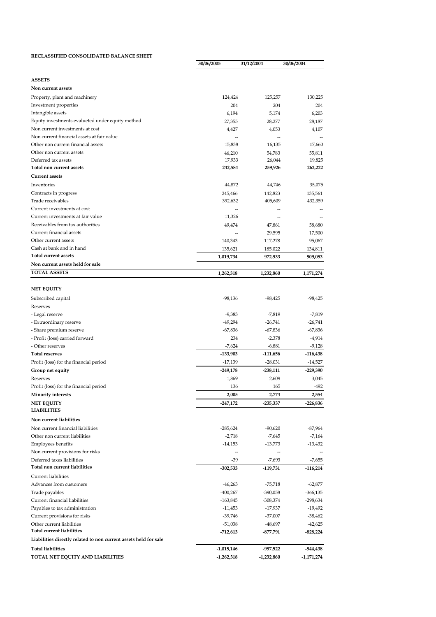#### **RECLASSIFIED CONSOLIDATED BALANCE SHEET**

|                                                                                  | 30/06/2005   | 31/12/2004     | 30/06/2004      |
|----------------------------------------------------------------------------------|--------------|----------------|-----------------|
|                                                                                  |              |                |                 |
| <b>ASSETS</b>                                                                    |              |                |                 |
| Non current assets                                                               |              |                |                 |
| Property, plant and machinery                                                    | 124,424      | 125,257        | 130,225         |
| Investment properties                                                            | 204          | 204            | 204             |
| Intangible assets                                                                | 6,194        | 5,174          | 6,203           |
| Equity investments evalueted under equity method                                 | 27,355       | 28,277         | 28,187          |
| Non current investments at cost                                                  | 4,427        | 4,053          | 4,107           |
| Non current financial assets at fair value<br>Other non current financial assets | 15,838       | 16,135         | 17,660          |
| Other non current assets                                                         | 46,210       | 54,783         | 55,811          |
| Deferred tax assets                                                              | 17,933       | 26,044         | 19,825          |
| Total non current assets                                                         | 242,584      | 259,926        | 262,222         |
| <b>Current assets</b>                                                            |              |                |                 |
| Inventories                                                                      | 44,872       | 44,746         | 35,075          |
| Contracts in progress                                                            | 245,466      | 142,823        | 135,561         |
| Trade receivables                                                                | 392,632      | 405,609        | 432,359         |
| Current investments at cost                                                      |              |                |                 |
| Current investments at fair value                                                | 11,326       | $\overline{a}$ |                 |
| Receivables from tax authorities                                                 | 49,474       | 47,861         | 58,680          |
| Current financial assets                                                         |              | 29,595         | 17,500          |
| Other current assets                                                             | 140,343      | 117,278        | 95,067          |
| Cash at bank and in hand                                                         | 135,621      | 185,022        | 134,811         |
| Total current assets                                                             | 1,019,734    | 972,933        | 909.053         |
| Non current assets held for sale                                                 |              |                |                 |
| <b>TOTAL ASSETS</b>                                                              | 1,262,318    | 1,232,860      | 1,171,274       |
|                                                                                  |              |                |                 |
| NET EQUITY                                                                       |              |                |                 |
| Subscribed capital                                                               | -98,136      | -98,425        | $-98,425$       |
| Reserves                                                                         |              |                |                 |
| - Legal reserve                                                                  | $-9,383$     | $-7,819$       | -7,819          |
| - Extraordinary reserve                                                          | $-49,294$    | -26,741        | $-26,741$       |
| - Share premium reserve                                                          | -67,836      | -67,836        | $-67,836$       |
| - Profit (loss) carried forward                                                  | 234          | $-2,378$       | -4,914          |
| - Other reserves                                                                 | $-7,624$     | $-6,881$       | $-9,128$        |
| <b>Total reserves</b>                                                            | -133,903     | -111,656       | -116,438        |
| Profit (loss) for the financial period                                           | $-17,139$    | -28,031        | $-14,527$       |
| Group net equity                                                                 | $-249,178$   | -238,111       | $-229,390$      |
| Reserves                                                                         | 1,869        | 2,609          | 3,045<br>$-492$ |
| Profit (loss) for the financial period                                           | 136          | 165            |                 |
| <b>Minority interests</b>                                                        | 2,005        | 2,774          | 2,554           |
| <b>NET EQUITY</b><br><b>LIABILITIES</b>                                          | $-247,172$   | -235,337       | -226,836        |
| Non current liabilities                                                          |              |                |                 |
| Non current financial liabilities                                                | $-285,624$   | -90,620        | -87,964         |
| Other non current liabilities                                                    | $-2,718$     | $-7,645$       | -7,164          |
| Employees benefits                                                               | $-14,153$    | -13,773        | $-13,432$       |
| Non current provisions for risks                                                 | --           | --             |                 |
| Deferred taxes liabilities                                                       | $-39$        | $-7,693$       | $-7,655$        |
| Total non current liabilities                                                    | $-302,533$   | -119,731       | -116,214        |
| <b>Current liabilities</b>                                                       |              |                |                 |
| Advances from customers                                                          | $-46,263$    | -75,718        | -62,877         |
| Trade payables                                                                   | $-400,267$   | -390,058       | -366,135        |
| Current financial liabilities                                                    | -163,845     | -308,374       | -298,634        |
| Payables to tax administration                                                   | -11,453      | -17,937        | -19,492         |
| Current provisions for risks                                                     | -39,746      | -37,007        | -38,462         |
| Other current liabilities                                                        | $-51,038$    | -48,697        | -42,625         |
| <b>Total current liabilities</b>                                                 | -712,613     | -877,791       | -828,224        |
| Liabilities directly related to non current assets held for sale                 |              |                |                 |
| <b>Total liabilities</b>                                                         | $-1,015,146$ | -997,522       | -944,438        |
| TOTAL NET EQUITY AND LIABILITIES                                                 | $-1,262,318$ | -1,232,860     | -1,171,274      |